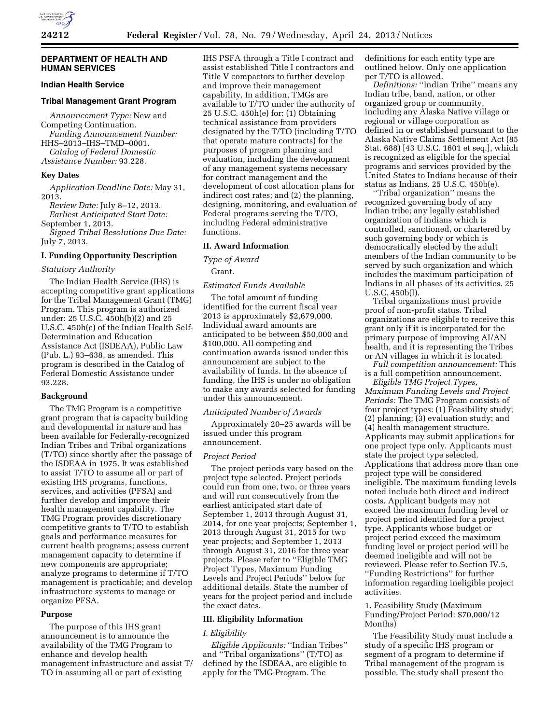### **DEPARTMENT OF HEALTH AND HUMAN SERVICES**

### **Indian Health Service**

### **Tribal Management Grant Program**

*Announcement Type:* New and Competing Continuation. *Funding Announcement Number:*  HHS–2013–IHS–TMD–0001.

*Catalog of Federal Domestic Assistance Number:* 93.228.

### **Key Dates**

*Application Deadline Date:* May 31, 2013.

*Review Date:* July 8–12, 2013. *Earliest Anticipated Start Date:* 

September 1, 2013.

*Signed Tribal Resolutions Due Date:*  July 7, 2013.

# **I. Funding Opportunity Description**

## *Statutory Authority*

The Indian Health Service (IHS) is accepting competitive grant applications for the Tribal Management Grant (TMG) Program. This program is authorized under: 25 U.S.C. 450h(b)(2) and 25 U.S.C. 450h(e) of the Indian Health Self-Determination and Education Assistance Act (ISDEAA), Public Law (Pub. L.) 93–638, as amended. This program is described in the Catalog of Federal Domestic Assistance under 93.228.

# **Background**

The TMG Program is a competitive grant program that is capacity building and developmental in nature and has been available for Federally-recognized Indian Tribes and Tribal organizations (T/TO) since shortly after the passage of the ISDEAA in 1975. It was established to assist T/TO to assume all or part of existing IHS programs, functions, services, and activities (PFSA) and further develop and improve their health management capability. The TMG Program provides discretionary competitive grants to T/TO to establish goals and performance measures for current health programs; assess current management capacity to determine if new components are appropriate; analyze programs to determine if T/TO management is practicable; and develop infrastructure systems to manage or organize PFSA.

#### **Purpose**

The purpose of this IHS grant announcement is to announce the availability of the TMG Program to enhance and develop health management infrastructure and assist T/ TO in assuming all or part of existing

IHS PSFA through a Title I contract and assist established Title I contractors and Title V compactors to further develop and improve their management capability. In addition, TMGs are available to T/TO under the authority of 25 U.S.C. 450h(e) for: (1) Obtaining technical assistance from providers designated by the T/TO (including T/TO that operate mature contracts) for the purposes of program planning and evaluation, including the development of any management systems necessary for contract management and the development of cost allocation plans for indirect cost rates; and (2) the planning, designing, monitoring, and evaluation of Federal programs serving the T/TO, including Federal administrative functions.

### **II. Award Information**

*Type of Award* 

Grant.

# *Estimated Funds Available*

The total amount of funding identified for the current fiscal year 2013 is approximately \$2,679,000. Individual award amounts are anticipated to be between \$50,000 and \$100,000. All competing and continuation awards issued under this announcement are subject to the availability of funds. In the absence of funding, the IHS is under no obligation to make any awards selected for funding under this announcement.

### *Anticipated Number of Awards*

Approximately 20–25 awards will be issued under this program announcement.

### *Project Period*

The project periods vary based on the project type selected. Project periods could run from one, two, or three years and will run consecutively from the earliest anticipated start date of September 1, 2013 through August 31, 2014, for one year projects; September 1, 2013 through August 31, 2015 for two year projects; and September 1, 2013 through August 31, 2016 for three year projects. Please refer to ''Eligible TMG Project Types, Maximum Funding Levels and Project Periods'' below for additional details. State the number of years for the project period and include the exact dates.

#### **III. Eligibility Information**

### *I. Eligibility*

*Eligible Applicants:* ''Indian Tribes'' and ''Tribal organizations'' (T/TO) as defined by the ISDEAA, are eligible to apply for the TMG Program. The

definitions for each entity type are outlined below. Only one application per T/TO is allowed.

*Definitions:* ''Indian Tribe'' means any Indian tribe, band, nation, or other organized group or community, including any Alaska Native village or regional or village corporation as defined in or established pursuant to the Alaska Native Claims Settlement Act (85 Stat. 688) [43 U.S.C. 1601 et seq.], which is recognized as eligible for the special programs and services provided by the United States to Indians because of their status as Indians. 25 U.S.C. 450b(e).

''Tribal organization'' means the recognized governing body of any Indian tribe; any legally established organization of Indians which is controlled, sanctioned, or chartered by such governing body or which is democratically elected by the adult members of the Indian community to be served by such organization and which includes the maximum participation of Indians in all phases of its activities. 25 U.S.C. 450b(l).

Tribal organizations must provide proof of non-profit status. Tribal organizations are eligible to receive this grant only if it is incorporated for the primary purpose of improving AI/AN health, and it is representing the Tribes or AN villages in which it is located.

*Full competition announcement:* This is a full competition announcement.

*Eligible TMG Project Types, Maximum Funding Levels and Project Periods:* The TMG Program consists of four project types: (1) Feasibility study; (2) planning; (3) evaluation study; and (4) health management structure. Applicants may submit applications for one project type only. Applicants must state the project type selected. Applications that address more than one project type will be considered ineligible. The maximum funding levels noted include both direct and indirect costs. Applicant budgets may not exceed the maximum funding level or project period identified for a project type. Applicants whose budget or project period exceed the maximum funding level or project period will be deemed ineligible and will not be reviewed. Please refer to Section IV.5, ''Funding Restrictions'' for further information regarding ineligible project activities.

### 1. Feasibility Study (Maximum Funding/Project Period: \$70,000/12 Months)

The Feasibility Study must include a study of a specific IHS program or segment of a program to determine if Tribal management of the program is possible. The study shall present the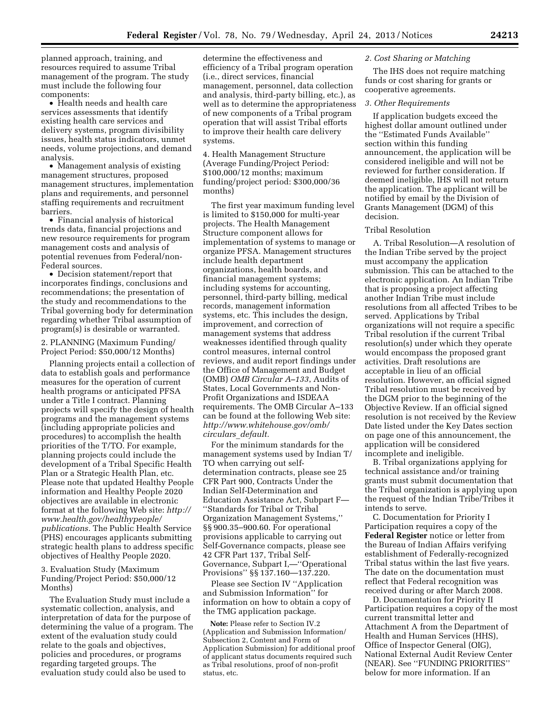planned approach, training, and resources required to assume Tribal management of the program. The study must include the following four components:

• Health needs and health care services assessments that identify existing health care services and delivery systems, program divisibility issues, health status indicators, unmet needs, volume projections, and demand analysis.

• Management analysis of existing management structures, proposed management structures, implementation plans and requirements, and personnel staffing requirements and recruitment barriers.

• Financial analysis of historical trends data, financial projections and new resource requirements for program management costs and analysis of potential revenues from Federal/non-Federal sources.

• Decision statement/report that incorporates findings, conclusions and recommendations; the presentation of the study and recommendations to the Tribal governing body for determination regarding whether Tribal assumption of program(s) is desirable or warranted.

2. PLANNING (Maximum Funding/ Project Period: \$50,000/12 Months)

Planning projects entail a collection of data to establish goals and performance measures for the operation of current health programs or anticipated PFSA under a Title I contract. Planning projects will specify the design of health programs and the management systems (including appropriate policies and procedures) to accomplish the health priorities of the T/TO. For example, planning projects could include the development of a Tribal Specific Health Plan or a Strategic Health Plan, etc. Please note that updated Healthy People information and Healthy People 2020 objectives are available in electronic format at the following Web site: *[http://](http://www.health.gov/healthypeople/publications)  [www.health.gov/healthypeople/](http://www.health.gov/healthypeople/publications)  [publications.](http://www.health.gov/healthypeople/publications)* The Public Health Service (PHS) encourages applicants submitting strategic health plans to address specific objectives of Healthy People 2020.

3. Evaluation Study (Maximum Funding/Project Period: \$50,000/12 Months)

The Evaluation Study must include a systematic collection, analysis, and interpretation of data for the purpose of determining the value of a program. The extent of the evaluation study could relate to the goals and objectives, policies and procedures, or programs regarding targeted groups. The evaluation study could also be used to

determine the effectiveness and efficiency of a Tribal program operation (i.e., direct services, financial management, personnel, data collection and analysis, third-party billing, etc.), as well as to determine the appropriateness of new components of a Tribal program operation that will assist Tribal efforts to improve their health care delivery systems.

4. Health Management Structure (Average Funding/Project Period: \$100,000/12 months; maximum funding/project period: \$300,000/36 months)

The first year maximum funding level is limited to \$150,000 for multi-year projects. The Health Management Structure component allows for implementation of systems to manage or organize PFSA. Management structures include health department organizations, health boards, and financial management systems; including systems for accounting, personnel, third-party billing, medical records, management information systems, etc. This includes the design, improvement, and correction of management systems that address weaknesses identified through quality control measures, internal control reviews, and audit report findings under the Office of Management and Budget (OMB) *OMB Circular A–133*, Audits of States, Local Governments and Non-Profit Organizations and ISDEAA requirements. The OMB Circular A–133 can be found at the following Web site: *[http://www.whitehouse.gov/omb/](http://www.whitehouse.gov/omb/circulars_default) [circulars](http://www.whitehouse.gov/omb/circulars_default)*\_*default.* 

For the minimum standards for the management systems used by Indian T/ TO when carrying out selfdetermination contracts, please see 25 CFR Part 900, Contracts Under the Indian Self-Determination and Education Assistance Act, Subpart F— ''Standards for Tribal or Tribal Organization Management Systems,'' §§ 900.35–900.60. For operational provisions applicable to carrying out Self-Governance compacts, please see 42 CFR Part 137, Tribal Self-Governance, Subpart I,—''Operational Provisions'' §§ 137.160—137.220.

Please see Section IV ''Application and Submission Information'' for information on how to obtain a copy of the TMG application package.

**Note:** Please refer to Section IV.2 (Application and Submission Information/ Subsection 2, Content and Form of Application Submission) for additional proof of applicant status documents required such as Tribal resolutions, proof of non-profit status, etc.

### *2. Cost Sharing or Matching*

The IHS does not require matching funds or cost sharing for grants or cooperative agreements.

### *3. Other Requirements*

If application budgets exceed the highest dollar amount outlined under the ''Estimated Funds Available'' section within this funding announcement, the application will be considered ineligible and will not be reviewed for further consideration. If deemed ineligible, IHS will not return the application. The applicant will be notified by email by the Division of Grants Management (DGM) of this decision.

### Tribal Resolution

A. Tribal Resolution—A resolution of the Indian Tribe served by the project must accompany the application submission. This can be attached to the electronic application. An Indian Tribe that is proposing a project affecting another Indian Tribe must include resolutions from all affected Tribes to be served. Applications by Tribal organizations will not require a specific Tribal resolution if the current Tribal resolution(s) under which they operate would encompass the proposed grant activities. Draft resolutions are acceptable in lieu of an official resolution. However, an official signed Tribal resolution must be received by the DGM prior to the beginning of the Objective Review. If an official signed resolution is not received by the Review Date listed under the Key Dates section on page one of this announcement, the application will be considered incomplete and ineligible.

B. Tribal organizations applying for technical assistance and/or training grants must submit documentation that the Tribal organization is applying upon the request of the Indian Tribe/Tribes it intends to serve.

C. Documentation for Priority I Participation requires a copy of the **Federal Register** notice or letter from the Bureau of Indian Affairs verifying establishment of Federally-recognized Tribal status within the last five years. The date on the documentation must reflect that Federal recognition was received during or after March 2008.

D. Documentation for Priority II Participation requires a copy of the most current transmittal letter and Attachment A from the Department of Health and Human Services (HHS), Office of Inspector General (OIG), National External Audit Review Center (NEAR). See ''FUNDING PRIORITIES'' below for more information. If an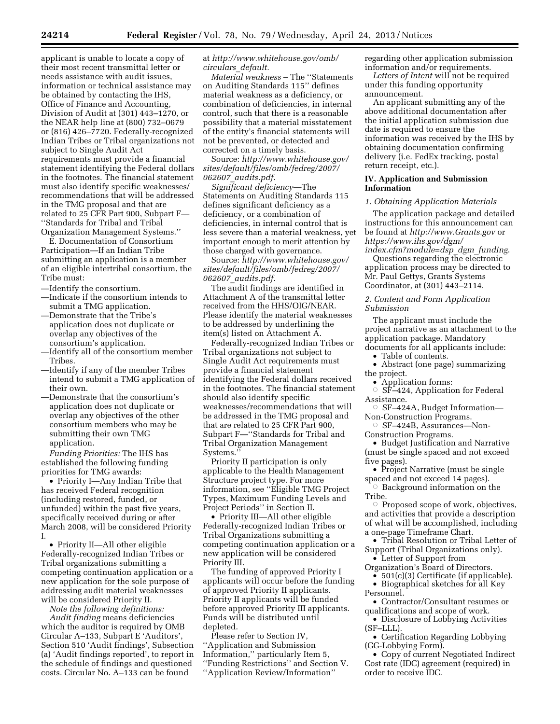applicant is unable to locate a copy of their most recent transmittal letter or needs assistance with audit issues, information or technical assistance may be obtained by contacting the IHS, Office of Finance and Accounting, Division of Audit at (301) 443–1270, or the NEAR help line at (800) 732–0679 or (816) 426–7720. Federally-recognized Indian Tribes or Tribal organizations not subject to Single Audit Act requirements must provide a financial statement identifying the Federal dollars in the footnotes. The financial statement must also identify specific weaknesses/ recommendations that will be addressed in the TMG proposal and that are related to 25 CFR Part 900, Subpart F— ''Standards for Tribal and Tribal Organization Management Systems.''

E. Documentation of Consortium Participation—If an Indian Tribe submitting an application is a member of an eligible intertribal consortium, the Tribe must:

- —Identify the consortium.
- —Indicate if the consortium intends to submit a TMG application.
- —Demonstrate that the Tribe's application does not duplicate or overlap any objectives of the consortium's application.
- —Identify all of the consortium member Tribes.
- —Identify if any of the member Tribes intend to submit a TMG application of their own.
- —Demonstrate that the consortium's application does not duplicate or overlap any objectives of the other consortium members who may be submitting their own TMG application.

*Funding Priorities:* The IHS has established the following funding priorities for TMG awards:

• Priority I—Any Indian Tribe that has received Federal recognition (including restored, funded, or unfunded) within the past five years, specifically received during or after March 2008, will be considered Priority I.

• Priority II—All other eligible Federally-recognized Indian Tribes or Tribal organizations submitting a competing continuation application or a new application for the sole purpose of addressing audit material weaknesses will be considered Priority II.

*Note the following definitions:* 

*Audit finding* means deficiencies which the auditor is required by OMB Circular A–133, Subpart E 'Auditors', Section 510 'Audit findings', Subsection (a) 'Audit findings reported', to report in the schedule of findings and questioned costs. Circular No. A–133 can be found

### at *[http://www.whitehouse.gov/omb/](http://www.whitehouse.gov/omb/circulars_default) [circulars](http://www.whitehouse.gov/omb/circulars_default)*\_*default.*

*Material weakness* – The ''Statements on Auditing Standards 115'' defines material weakness as a deficiency, or combination of deficiencies, in internal control, such that there is a reasonable possibility that a material misstatement of the entity's financial statements will not be prevented, or detected and corrected on a timely basis.

Source: *[http://www.whitehouse.gov/](http://www.whitehouse.gov/sites/default/files/omb/fedreg/2007/062607_audits.pdf) [sites/default/files/omb/fedreg/2007/](http://www.whitehouse.gov/sites/default/files/omb/fedreg/2007/062607_audits.pdf) 062607*\_*[audits.pdf](http://www.whitehouse.gov/sites/default/files/omb/fedreg/2007/062607_audits.pdf)*.

*Significant deficiency*—The Statements on Auditing Standards 115 defines significant deficiency as a deficiency, or a combination of deficiencies, in internal control that is less severe than a material weakness, yet important enough to merit attention by those charged with governance.

Source: *[http://www.whitehouse.gov/](http://www.whitehouse.gov/sites/default/files/omb/fedreg/2007/062607_audits.pdf) [sites/default/files/omb/fedreg/2007/](http://www.whitehouse.gov/sites/default/files/omb/fedreg/2007/062607_audits.pdf) 062607*\_*[audits.pdf](http://www.whitehouse.gov/sites/default/files/omb/fedreg/2007/062607_audits.pdf)*.

The audit findings are identified in Attachment A of the transmittal letter received from the HHS/OIG/NEAR. Please identify the material weaknesses to be addressed by underlining the item(s) listed on Attachment A.

Federally-recognized Indian Tribes or Tribal organizations not subject to Single Audit Act requirements must provide a financial statement identifying the Federal dollars received in the footnotes. The financial statement should also identify specific weaknesses/recommendations that will be addressed in the TMG proposal and that are related to 25 CFR Part 900, Subpart F—''Standards for Tribal and Tribal Organization Management Systems.

Priority II participation is only applicable to the Health Management Structure project type. For more information, see ''Eligible TMG Project Types, Maximum Funding Levels and Project Periods'' in Section II.

• Priority III—All other eligible Federally-recognized Indian Tribes or Tribal Organizations submitting a competing continuation application or a new application will be considered Priority III.

The funding of approved Priority I applicants will occur before the funding of approved Priority II applicants. Priority II applicants will be funded before approved Priority III applicants. Funds will be distributed until depleted.

Please refer to Section IV, ''Application and Submission Information,'' particularly Item 5, ''Funding Restrictions'' and Section V. ''Application Review/Information''

regarding other application submission information and/or requirements.

*Letters of Intent* will not be required under this funding opportunity announcement.

An applicant submitting any of the above additional documentation after the initial application submission due date is required to ensure the information was received by the IHS by obtaining documentation confirming delivery (i.e. FedEx tracking, postal return receipt, etc.).

# **IV. Application and Submission Information**

### *1. Obtaining Application Materials*

The application package and detailed instructions for this announcement can be found at *<http://www.Grants.gov>*or *[https://www.ihs.gov/dgm/](https://www.ihs.gov/dgm/index.cfm?module=dsp_dgm_funding) [index.cfm?module=dsp](https://www.ihs.gov/dgm/index.cfm?module=dsp_dgm_funding)*\_*dgm*\_*funding*.

Questions regarding the electronic application process may be directed to Mr. Paul Gettys, Grants Systems Coordinator, at (301) 443–2114.

### *2. Content and Form Application Submission*

The applicant must include the project narrative as an attachment to the application package. Mandatory documents for all applicants include:

• Table of contents.

• Abstract (one page) summarizing the project.

- Application forms: Æ SF–424, Application for Federal Assistance.
- G SF-424A, Budget Information-Non-Construction Programs.
- $\circ$  SF–424B, Assurances—Non-Construction Programs.
- Budget Justification and Narrative (must be single spaced and not exceed five pages).
- Project Narrative (must be single spaced and not exceed 14 pages).
- $\circ$  Background information on the Tribe.
- $\circ$  Proposed scope of work, objectives, and activities that provide a description of what will be accomplished, including a one-page Timeframe Chart.
- Tribal Resolution or Tribal Letter of Support (Tribal Organizations only).
- Letter of Support from Organization's Board of Directors.
	- 501(c)(3) Certificate (if applicable).
- Biographical sketches for all Key Personnel.
- Contractor/Consultant resumes or qualifications and scope of work.
- Disclosure of Lobbying Activities (SF–LLL).
- Certification Regarding Lobbying (GG-Lobbying Form).
- Copy of current Negotiated Indirect Cost rate (IDC) agreement (required) in order to receive IDC.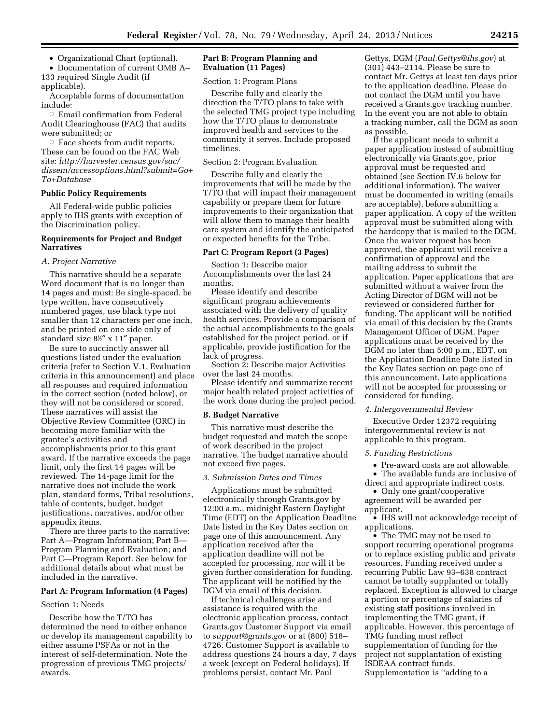• Organizational Chart (optional).

• Documentation of current OMB A– 133 required Single Audit (if applicable).

Acceptable forms of documentation include:

 $\circ~$  Email confirmation from Federal Audit Clearinghouse (FAC) that audits were submitted; or

 $\circ$  Face sheets from audit reports. These can be found on the FAC Web site: *[http://harvester.census.gov/sac/](http://harvester.census.gov/sac/dissem/accessoptions.html?submit=Go+To+Database)  [dissem/accessoptions.html?submit=Go+](http://harvester.census.gov/sac/dissem/accessoptions.html?submit=Go+To+Database) [To+Database](http://harvester.census.gov/sac/dissem/accessoptions.html?submit=Go+To+Database)* 

# **Public Policy Requirements**

All Federal-wide public policies apply to IHS grants with exception of the Discrimination policy.

# **Requirements for Project and Budget Narratives**

### *A. Project Narrative*

This narrative should be a separate Word document that is no longer than 14 pages and must: Be single-spaced, be type written, have consecutively numbered pages, use black type not smaller than 12 characters per one inch, and be printed on one side only of standard size  $8\frac{1}{2}$  x 11" paper.

Be sure to succinctly answer all questions listed under the evaluation criteria (refer to Section V.1, Evaluation criteria in this announcement) and place all responses and required information in the correct section (noted below), or they will not be considered or scored. These narratives will assist the Objective Review Committee (ORC) in becoming more familiar with the grantee's activities and accomplishments prior to this grant award. If the narrative exceeds the page limit, only the first 14 pages will be reviewed. The 14-page limit for the narrative does not include the work plan, standard forms, Tribal resolutions, table of contents, budget, budget justifications, narratives, and/or other appendix items.

There are three parts to the narrative: Part A—Program Information; Part B— Program Planning and Evaluation; and Part C—Program Report. See below for additional details about what must be included in the narrative.

#### **Part A: Program Information (4 Pages)**

#### Section 1: Needs

Describe how the T/TO has determined the need to either enhance or develop its management capability to either assume PSFAs or not in the interest of self-determination. Note the progression of previous TMG projects/ awards.

### **Part B: Program Planning and Evaluation (11 Pages)**

Section 1: Program Plans

Describe fully and clearly the direction the T/TO plans to take with the selected TMG project type including how the T/TO plans to demonstrate improved health and services to the community it serves. Include proposed timelines.

#### Section 2: Program Evaluation

Describe fully and clearly the improvements that will be made by the T/TO that will impact their management capability or prepare them for future improvements to their organization that will allow them to manage their health care system and identify the anticipated or expected benefits for the Tribe.

#### **Part C: Program Report (3 Pages)**

Section 1: Describe major Accomplishments over the last 24 months.

Please identify and describe significant program achievements associated with the delivery of quality health services. Provide a comparison of the actual accomplishments to the goals established for the project period, or if applicable, provide justification for the lack of progress.

Section 2: Describe major Activities over the last 24 months.

Please identify and summarize recent major health related project activities of the work done during the project period.

#### **B. Budget Narrative**

This narrative must describe the budget requested and match the scope of work described in the project narrative. The budget narrative should not exceed five pages.

### *3. Submission Dates and Times*

Applications must be submitted electronically through Grants.gov by 12:00 a.m., midnight Eastern Daylight Time (EDT) on the Application Deadline Date listed in the Key Dates section on page one of this announcement. Any application received after the application deadline will not be accepted for processing, nor will it be given further consideration for funding. The applicant will be notified by the DGM via email of this decision.

If technical challenges arise and assistance is required with the electronic application process, contact Grants.gov Customer Support via email to *[support@grants.gov](mailto:support@grants.gov)* or at (800) 518– 4726. Customer Support is available to address questions 24 hours a day, 7 days a week (except on Federal holidays). If problems persist, contact Mr. Paul

Gettys, DGM (*[Paul.Gettys@ihs.gov](mailto:Paul.Gettys@ihs.gov)*) at (301) 443–2114. Please be sure to contact Mr. Gettys at least ten days prior to the application deadline. Please do not contact the DGM until you have received a Grants.gov tracking number. In the event you are not able to obtain a tracking number, call the DGM as soon as possible.

If the applicant needs to submit a paper application instead of submitting electronically via Grants.gov, prior approval must be requested and obtained (see Section IV.6 below for additional information). The waiver must be documented in writing (emails are acceptable), before submitting a paper application. A copy of the written approval must be submitted along with the hardcopy that is mailed to the DGM. Once the waiver request has been approved, the applicant will receive a confirmation of approval and the mailing address to submit the application. Paper applications that are submitted without a waiver from the Acting Director of DGM will not be reviewed or considered further for funding. The applicant will be notified via email of this decision by the Grants Management Officer of DGM. Paper applications must be received by the DGM no later than 5:00 p.m., EDT, on the Application Deadline Date listed in the Key Dates section on page one of this announcement. Late applications will not be accepted for processing or considered for funding.

### *4. Intergovernmental Review*

Executive Order 12372 requiring intergovernmental review is not applicable to this program.

### *5. Funding Restrictions*

• Pre-award costs are not allowable. • The available funds are inclusive of direct and appropriate indirect costs.

• Only one grant/cooperative agreement will be awarded per applicant.

• IHS will not acknowledge receipt of applications.

• The TMG may not be used to support recurring operational programs or to replace existing public and private resources. Funding received under a recurring Public Law 93–638 contract cannot be totally supplanted or totally replaced. Exception is allowed to charge a portion or percentage of salaries of existing staff positions involved in implementing the TMG grant, if applicable. However, this percentage of TMG funding must reflect supplementation of funding for the project not supplantation of existing ISDEAA contract funds. Supplementation is ''adding to a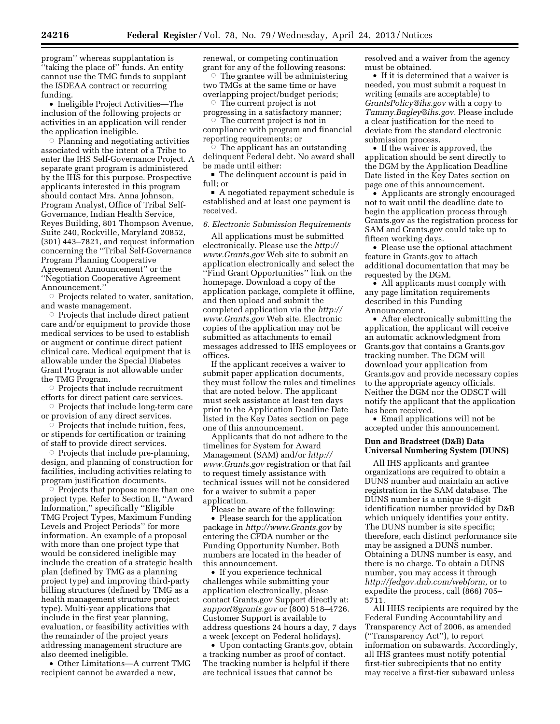program'' whereas supplantation is ''taking the place of'' funds. An entity cannot use the TMG funds to supplant the ISDEAA contract or recurring funding.

• Ineligible Project Activities—The inclusion of the following projects or activities in an application will render the application ineligible.

 $\circ$  Planning and negotiating activities associated with the intent of a Tribe to enter the IHS Self-Governance Project. A separate grant program is administered by the IHS for this purpose. Prospective applicants interested in this program should contact Mrs. Anna Johnson, Program Analyst, Office of Tribal Self-Governance, Indian Health Service, Reyes Building, 801 Thompson Avenue, Suite 240, Rockville, Maryland 20852, (301) 443–7821, and request information concerning the ''Tribal Self-Governance Program Planning Cooperative Agreement Announcement'' or the ''Negotiation Cooperative Agreement Announcement.''

Æ Projects related to water, sanitation, and waste management.

 $\circ$  Projects that include direct patient care and/or equipment to provide those medical services to be used to establish or augment or continue direct patient clinical care. Medical equipment that is allowable under the Special Diabetes Grant Program is not allowable under the TMG Program.

 $\circ$  Projects that include recruitment efforts for direct patient care services.

 $\circ$  Projects that include long-term care or provision of any direct services.

 $\overline{\circ}$  Projects that include tuition, fees, or stipends for certification or training of staff to provide direct services.

 $\circ$  Projects that include pre-planning, design, and planning of construction for facilities, including activities relating to program justification documents.

 $\circ$  Projects that propose more than one project type. Refer to Section II, ''Award Information,'' specifically ''Eligible TMG Project Types, Maximum Funding Levels and Project Periods'' for more information. An example of a proposal with more than one project type that would be considered ineligible may include the creation of a strategic health plan (defined by TMG as a planning project type) and improving third-party billing structures (defined by TMG as a health management structure project type). Multi-year applications that include in the first year planning, evaluation, or feasibility activities with the remainder of the project years addressing management structure are also deemed ineligible.

• Other Limitations—A current TMG recipient cannot be awarded a new,

renewal, or competing continuation grant for any of the following reasons:

 $\circ$  The grantee will be administering two TMGs at the same time or have overlapping project/budget periods;

The current project is not progressing in a satisfactory manner; Æ

 The current project is not in compliance with program and financial reporting requirements; or

The applicant has an outstanding delinquent Federal debt. No award shall be made until either:

■ The delinquent account is paid in full; or

A negotiated repayment schedule is established and at least one payment is received.

# *6. Electronic Submission Requirements*

All applications must be submitted electronically. Please use the *[http://](http://www.Grants.gov) [www.Grants.gov](http://www.Grants.gov)* Web site to submit an application electronically and select the ''Find Grant Opportunities'' link on the homepage. Download a copy of the application package, complete it offline, and then upload and submit the completed application via the *[http://](http://www.Grants.gov) [www.Grants.gov](http://www.Grants.gov)* Web site. Electronic copies of the application may not be submitted as attachments to email messages addressed to IHS employees or offices.

If the applicant receives a waiver to submit paper application documents, they must follow the rules and timelines that are noted below. The applicant must seek assistance at least ten days prior to the Application Deadline Date listed in the Key Dates section on page one of this announcement.

Applicants that do not adhere to the timelines for System for Award Management (SAM) and/or *[http://](http://www.Grants.gov) [www.Grants.gov](http://www.Grants.gov)* registration or that fail to request timely assistance with technical issues will not be considered for a waiver to submit a paper application.

Please be aware of the following:

• Please search for the application package in *<http://www.Grants.gov>* by entering the CFDA number or the Funding Opportunity Number. Both numbers are located in the header of this announcement.

• If you experience technical challenges while submitting your application electronically, please contact Grants.gov Support directly at: *[support@grants.gov](mailto:support@grants.gov)* or (800) 518–4726. Customer Support is available to address questions 24 hours a day, 7 days a week (except on Federal holidays).

• Upon contacting Grants.gov, obtain a tracking number as proof of contact. The tracking number is helpful if there are technical issues that cannot be

resolved and a waiver from the agency must be obtained.

• If it is determined that a waiver is needed, you must submit a request in writing (emails are acceptable) to *[GrantsPolicy@ihs.gov](mailto:GrantsPolicy@ihs.gov)* with a copy to *[Tammy.Bagley@ihs.gov.](mailto:Tammy.Bagley@ihs.gov)* Please include a clear justification for the need to deviate from the standard electronic submission process.

• If the waiver is approved, the application should be sent directly to the DGM by the Application Deadline Date listed in the Key Dates section on page one of this announcement.

• Applicants are strongly encouraged not to wait until the deadline date to begin the application process through Grants.gov as the registration process for SAM and Grants.gov could take up to fifteen working days.

• Please use the optional attachment feature in Grants.gov to attach additional documentation that may be requested by the DGM.

• All applicants must comply with any page limitation requirements described in this Funding Announcement.

• After electronically submitting the application, the applicant will receive an automatic acknowledgment from Grants.gov that contains a Grants.gov tracking number. The DGM will download your application from Grants.gov and provide necessary copies to the appropriate agency officials. Neither the DGM nor the ODSCT will notify the applicant that the application has been received.

• Email applications will not be accepted under this announcement.

### **Dun and Bradstreet (D&B) Data Universal Numbering System (DUNS)**

All IHS applicants and grantee organizations are required to obtain a DUNS number and maintain an active registration in the SAM database. The DUNS number is a unique 9-digit identification number provided by D&B which uniquely identifies your entity. The DUNS number is site specific; therefore, each distinct performance site may be assigned a DUNS number. Obtaining a DUNS number is easy, and there is no charge. To obtain a DUNS number, you may access it through *[http://fedgov.dnb.com/webform,](http://fedgov.dnb.com/webform)* or to expedite the process, call (866) 705– 5711.

All HHS recipients are required by the Federal Funding Accountability and Transparency Act of 2006, as amended (''Transparency Act''), to report information on subawards. Accordingly, all IHS grantees must notify potential first-tier subrecipients that no entity may receive a first-tier subaward unless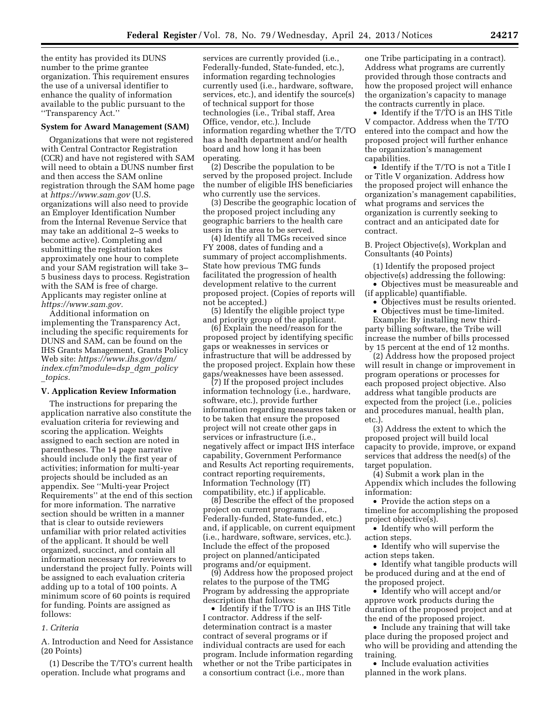the entity has provided its DUNS number to the prime grantee organization. This requirement ensures the use of a universal identifier to enhance the quality of information available to the public pursuant to the ''Transparency Act.''

#### **System for Award Management (SAM)**

Organizations that were not registered with Central Contractor Registration (CCR) and have not registered with SAM will need to obtain a DUNS number first and then access the SAM online registration through the SAM home page at *<https://www.sam.gov>* (U.S. organizations will also need to provide an Employer Identification Number from the Internal Revenue Service that may take an additional 2–5 weeks to become active). Completing and submitting the registration takes approximately one hour to complete and your SAM registration will take 3– 5 business days to process. Registration with the SAM is free of charge. Applicants may register online at *[https://www.sam.gov.](https://www.sam.gov)* 

Additional information on implementing the Transparency Act, including the specific requirements for DUNS and SAM, can be found on the IHS Grants Management, Grants Policy Web site: *[https://www.ihs.gov/dgm/](https://www.ihs.gov/dgm/index.cfm?module=dsp_dgm_policy_topics)  [index.cfm?module=dsp](https://www.ihs.gov/dgm/index.cfm?module=dsp_dgm_policy_topics)*\_*dgm*\_*policy* \_*[topics.](https://www.ihs.gov/dgm/index.cfm?module=dsp_dgm_policy_topics)* 

### **V. Application Review Information**

The instructions for preparing the application narrative also constitute the evaluation criteria for reviewing and scoring the application. Weights assigned to each section are noted in parentheses. The 14 page narrative should include only the first year of activities; information for multi-year projects should be included as an appendix. See ''Multi-year Project Requirements'' at the end of this section for more information. The narrative section should be written in a manner that is clear to outside reviewers unfamiliar with prior related activities of the applicant. It should be well organized, succinct, and contain all information necessary for reviewers to understand the project fully. Points will be assigned to each evaluation criteria adding up to a total of 100 points. A minimum score of 60 points is required for funding. Points are assigned as follows:

### *1. Criteria*

A. Introduction and Need for Assistance (20 Points)

(1) Describe the T/TO's current health operation. Include what programs and

services are currently provided (i.e., Federally-funded, State-funded, etc.), information regarding technologies currently used (i.e., hardware, software, services, etc.), and identify the source(s) of technical support for those technologies (i.e., Tribal staff, Area Office, vendor, etc.). Include information regarding whether the T/TO has a health department and/or health board and how long it has been operating.

(2) Describe the population to be served by the proposed project. Include the number of eligible IHS beneficiaries who currently use the services.

(3) Describe the geographic location of the proposed project including any geographic barriers to the health care users in the area to be served.

(4) Identify all TMGs received since FY 2008, dates of funding and a summary of project accomplishments. State how previous TMG funds facilitated the progression of health development relative to the current proposed project. (Copies of reports will not be accepted.)

(5) Identify the eligible project type and priority group of the applicant.

(6) Explain the need/reason for the proposed project by identifying specific gaps or weaknesses in services or infrastructure that will be addressed by the proposed project. Explain how these gaps/weaknesses have been assessed.

(7) If the proposed project includes information technology (i.e., hardware, software, etc.), provide further information regarding measures taken or to be taken that ensure the proposed project will not create other gaps in services or infrastructure (i.e., negatively affect or impact IHS interface capability, Government Performance and Results Act reporting requirements, contract reporting requirements, Information Technology (IT) compatibility, etc.) if applicable.

(8) Describe the effect of the proposed project on current programs (i.e., Federally-funded, State-funded, etc.) and, if applicable, on current equipment (i.e., hardware, software, services, etc.). Include the effect of the proposed project on planned/anticipated programs and/or equipment.

(9) Address how the proposed project relates to the purpose of the TMG Program by addressing the appropriate description that follows:

• Identify if the T/TO is an IHS Title I contractor. Address if the selfdetermination contract is a master contract of several programs or if individual contracts are used for each program. Include information regarding whether or not the Tribe participates in a consortium contract (i.e., more than

one Tribe participating in a contract). Address what programs are currently provided through those contracts and how the proposed project will enhance the organization's capacity to manage the contracts currently in place.

• Identify if the T/TO is an IHS Title V compactor. Address when the T/TO entered into the compact and how the proposed project will further enhance the organization's management capabilities.

• Identify if the T/TO is not a Title I or Title V organization. Address how the proposed project will enhance the organization's management capabilities, what programs and services the organization is currently seeking to contract and an anticipated date for contract.

B. Project Objective(s), Workplan and Consultants (40 Points)

(1) Identify the proposed project objective(s) addressing the following:

• Objectives must be measureable and (if applicable) quantifiable.

• Objectives must be results oriented.

• Objectives must be time-limited. Example: By installing new thirdparty billing software, the Tribe will increase the number of bills processed

by 15 percent at the end of 12 months. (2) Address how the proposed project will result in change or improvement in program operations or processes for each proposed project objective. Also address what tangible products are expected from the project (i.e., policies and procedures manual, health plan, etc.).

(3) Address the extent to which the proposed project will build local capacity to provide, improve, or expand services that address the need(s) of the target population.

(4) Submit a work plan in the Appendix which includes the following information:

• Provide the action steps on a timeline for accomplishing the proposed project objective(s).

• Identify who will perform the action steps.

• Identify who will supervise the action steps taken.

• Identify what tangible products will be produced during and at the end of the proposed project.

• Identify who will accept and/or approve work products during the duration of the proposed project and at the end of the proposed project.

• Include any training that will take place during the proposed project and who will be providing and attending the training.

• Include evaluation activities planned in the work plans.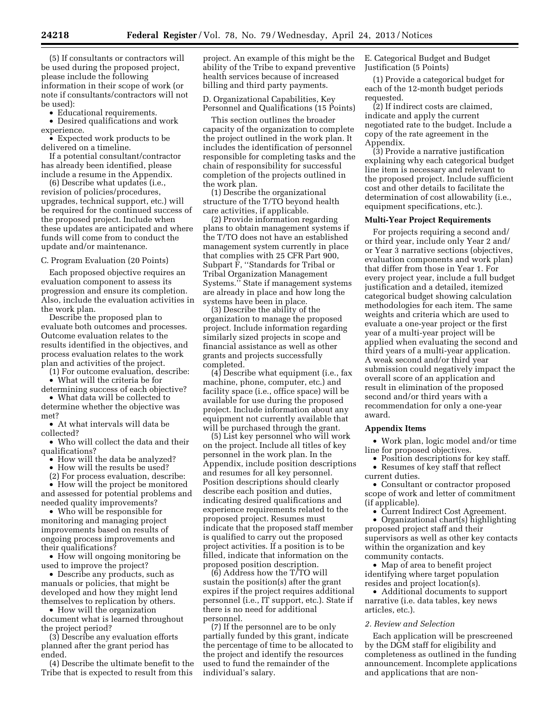(5) If consultants or contractors will be used during the proposed project, please include the following information in their scope of work (or note if consultants/contractors will not be used):

• Educational requirements.

• Desired qualifications and work experience.

• Expected work products to be delivered on a timeline.

If a potential consultant/contractor has already been identified, please include a resume in the Appendix.

(6) Describe what updates (i.e., revision of policies/procedures, upgrades, technical support, etc.) will be required for the continued success of the proposed project. Include when these updates are anticipated and where funds will come from to conduct the update and/or maintenance.

### C. Program Evaluation (20 Points)

Each proposed objective requires an evaluation component to assess its progression and ensure its completion. Also, include the evaluation activities in the work plan.

Describe the proposed plan to evaluate both outcomes and processes. Outcome evaluation relates to the results identified in the objectives, and process evaluation relates to the work plan and activities of the project.

(1) For outcome evaluation, describe:

• What will the criteria be for

determining success of each objective? • What data will be collected to

determine whether the objective was met?

• At what intervals will data be collected?

• Who will collect the data and their qualifications?

• How will the data be analyzed?

• How will the results be used?

(2) For process evaluation, describe:

• How will the project be monitored and assessed for potential problems and needed quality improvements?

• Who will be responsible for monitoring and managing project improvements based on results of ongoing process improvements and their qualifications?

• How will ongoing monitoring be used to improve the project?

• Describe any products, such as manuals or policies, that might be developed and how they might lend themselves to replication by others.

• How will the organization document what is learned throughout the project period?

(3) Describe any evaluation efforts planned after the grant period has ended.

(4) Describe the ultimate benefit to the Tribe that is expected to result from this

project. An example of this might be the ability of the Tribe to expand preventive health services because of increased billing and third party payments.

D. Organizational Capabilities, Key Personnel and Qualifications (15 Points)

This section outlines the broader capacity of the organization to complete the project outlined in the work plan. It includes the identification of personnel responsible for completing tasks and the chain of responsibility for successful completion of the projects outlined in the work plan.

(1) Describe the organizational structure of the T/TO beyond health care activities, if applicable.

(2) Provide information regarding plans to obtain management systems if the T/TO does not have an established management system currently in place that complies with 25 CFR Part 900, Subpart F, ''Standards for Tribal or Tribal Organization Management Systems.'' State if management systems are already in place and how long the systems have been in place.

(3) Describe the ability of the organization to manage the proposed project. Include information regarding similarly sized projects in scope and financial assistance as well as other grants and projects successfully completed.

(4) Describe what equipment (i.e., fax machine, phone, computer, etc.) and facility space (i.e., office space) will be available for use during the proposed project. Include information about any equipment not currently available that will be purchased through the grant.

(5) List key personnel who will work on the project. Include all titles of key personnel in the work plan. In the Appendix, include position descriptions and resumes for all key personnel. Position descriptions should clearly describe each position and duties, indicating desired qualifications and experience requirements related to the proposed project. Resumes must indicate that the proposed staff member is qualified to carry out the proposed project activities. If a position is to be filled, indicate that information on the proposed position description.

(6) Address how the T/TO will sustain the position(s) after the grant expires if the project requires additional personnel (i.e., IT support, etc.). State if there is no need for additional personnel.

(7) If the personnel are to be only partially funded by this grant, indicate the percentage of time to be allocated to the project and identify the resources used to fund the remainder of the individual's salary.

E. Categorical Budget and Budget Justification (5 Points)

(1) Provide a categorical budget for each of the 12-month budget periods requested.

(2) If indirect costs are claimed, indicate and apply the current negotiated rate to the budget. Include a copy of the rate agreement in the Appendix.

(3) Provide a narrative justification explaining why each categorical budget line item is necessary and relevant to the proposed project. Include sufficient cost and other details to facilitate the determination of cost allowability (i.e., equipment specifications, etc.).

### **Multi-Year Project Requirements**

For projects requiring a second and/ or third year, include only Year 2 and/ or Year 3 narrative sections (objectives, evaluation components and work plan) that differ from those in Year 1. For every project year, include a full budget justification and a detailed, itemized categorical budget showing calculation methodologies for each item. The same weights and criteria which are used to evaluate a one-year project or the first year of a multi-year project will be applied when evaluating the second and third years of a multi-year application. A weak second and/or third year submission could negatively impact the overall score of an application and result in elimination of the proposed second and/or third years with a recommendation for only a one-year award.

### **Appendix Items**

• Work plan, logic model and/or time line for proposed objectives.

• Position descriptions for key staff. • Resumes of key staff that reflect current duties.

• Consultant or contractor proposed scope of work and letter of commitment (if applicable).

• Current Indirect Cost Agreement.

• Organizational chart(s) highlighting proposed project staff and their supervisors as well as other key contacts within the organization and key community contacts.

• Map of area to benefit project identifying where target population resides and project location(s).

• Additional documents to support narrative (i.e. data tables, key news articles, etc.).

### *2. Review and Selection*

Each application will be prescreened by the DGM staff for eligibility and completeness as outlined in the funding announcement. Incomplete applications and applications that are non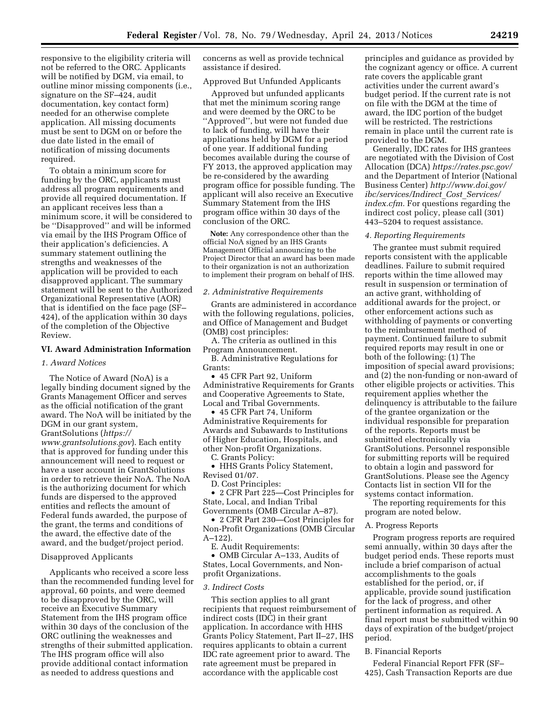responsive to the eligibility criteria will not be referred to the ORC. Applicants will be notified by DGM, via email, to outline minor missing components (i.e., signature on the SF–424, audit documentation, key contact form) needed for an otherwise complete application. All missing documents must be sent to DGM on or before the due date listed in the email of notification of missing documents required.

To obtain a minimum score for funding by the ORC, applicants must address all program requirements and provide all required documentation. If an applicant receives less than a minimum score, it will be considered to be ''Disapproved'' and will be informed via email by the IHS Program Office of their application's deficiencies. A summary statement outlining the strengths and weaknesses of the application will be provided to each disapproved applicant. The summary statement will be sent to the Authorized Organizational Representative (AOR) that is identified on the face page (SF– 424), of the application within 30 days of the completion of the Objective Review.

#### **VI. Award Administration Information**

#### *1. Award Notices*

The Notice of Award (NoA) is a legally binding document signed by the Grants Management Officer and serves as the official notification of the grant award. The NoA will be initiated by the DGM in our grant system, GrantSolutions (*[https://](https://www.grantsolutions.gov) [www.grantsolutions.gov](https://www.grantsolutions.gov)*). Each entity that is approved for funding under this announcement will need to request or have a user account in GrantSolutions in order to retrieve their NoA. The NoA is the authorizing document for which funds are dispersed to the approved entities and reflects the amount of Federal funds awarded, the purpose of the grant, the terms and conditions of the award, the effective date of the award, and the budget/project period.

# Disapproved Applicants

Applicants who received a score less than the recommended funding level for approval, 60 points, and were deemed to be disapproved by the ORC, will receive an Executive Summary Statement from the IHS program office within 30 days of the conclusion of the ORC outlining the weaknesses and strengths of their submitted application. The IHS program office will also provide additional contact information as needed to address questions and

concerns as well as provide technical assistance if desired.

# Approved But Unfunded Applicants

Approved but unfunded applicants that met the minimum scoring range and were deemed by the ORC to be ''Approved'', but were not funded due to lack of funding, will have their applications held by DGM for a period of one year. If additional funding becomes available during the course of FY 2013, the approved application may be re-considered by the awarding program office for possible funding. The applicant will also receive an Executive Summary Statement from the IHS program office within 30 days of the conclusion of the ORC.

**Note:** Any correspondence other than the official NoA signed by an IHS Grants Management Official announcing to the Project Director that an award has been made to their organization is not an authorization to implement their program on behalf of IHS.

### *2. Administrative Requirements*

Grants are administered in accordance with the following regulations, policies, and Office of Management and Budget (OMB) cost principles:

A. The criteria as outlined in this Program Announcement.

B. Administrative Regulations for Grants:

• 45 CFR Part 92, Uniform Administrative Requirements for Grants and Cooperative Agreements to State, Local and Tribal Governments.

• 45 CFR Part 74, Uniform Administrative Requirements for Awards and Subawards to Institutions of Higher Education, Hospitals, and other Non-profit Organizations.

C. Grants Policy:

• HHS Grants Policy Statement, Revised 01/07.

D. Cost Principles:

• 2 CFR Part 225—Cost Principles for State, Local, and Indian Tribal Governments (OMB Circular A–87).

• 2 CFR Part 230—Cost Principles for Non-Profit Organizations (OMB Circular A–122).

E. Audit Requirements:

• OMB Circular A–133, Audits of States, Local Governments, and Nonprofit Organizations.

#### *3. Indirect Costs*

This section applies to all grant recipients that request reimbursement of indirect costs (IDC) in their grant application. In accordance with HHS Grants Policy Statement, Part II–27, IHS requires applicants to obtain a current IDC rate agreement prior to award. The rate agreement must be prepared in accordance with the applicable cost

principles and guidance as provided by the cognizant agency or office. A current rate covers the applicable grant activities under the current award's budget period. If the current rate is not on file with the DGM at the time of award, the IDC portion of the budget will be restricted. The restrictions remain in place until the current rate is provided to the DGM.

Generally, IDC rates for IHS grantees are negotiated with the Division of Cost Allocation (DCA) *<https://rates.psc.gov/>*  and the Department of Interior (National Business Center) *[http://www.doi.gov/](http://www.doi.gov/ibc/services/Indirect_Cost_Services/index.cfm) [ibc/services/Indirect](http://www.doi.gov/ibc/services/Indirect_Cost_Services/index.cfm)*\_*Cost*\_*Services/ [index.cfm.](http://www.doi.gov/ibc/services/Indirect_Cost_Services/index.cfm)* For questions regarding the indirect cost policy, please call (301) 443–5204 to request assistance.

#### *4. Reporting Requirements*

The grantee must submit required reports consistent with the applicable deadlines. Failure to submit required reports within the time allowed may result in suspension or termination of an active grant, withholding of additional awards for the project, or other enforcement actions such as withholding of payments or converting to the reimbursement method of payment. Continued failure to submit required reports may result in one or both of the following: (1) The imposition of special award provisions; and (2) the non-funding or non-award of other eligible projects or activities. This requirement applies whether the delinquency is attributable to the failure of the grantee organization or the individual responsible for preparation of the reports. Reports must be submitted electronically via GrantSolutions. Personnel responsible for submitting reports will be required to obtain a login and password for GrantSolutions. Please see the Agency Contacts list in section VII for the systems contact information.

The reporting requirements for this program are noted below.

#### A. Progress Reports

Program progress reports are required semi annually, within 30 days after the budget period ends. These reports must include a brief comparison of actual accomplishments to the goals established for the period, or, if applicable, provide sound justification for the lack of progress, and other pertinent information as required. A final report must be submitted within 90 days of expiration of the budget/project period.

#### B. Financial Reports

Federal Financial Report FFR (SF– 425), Cash Transaction Reports are due